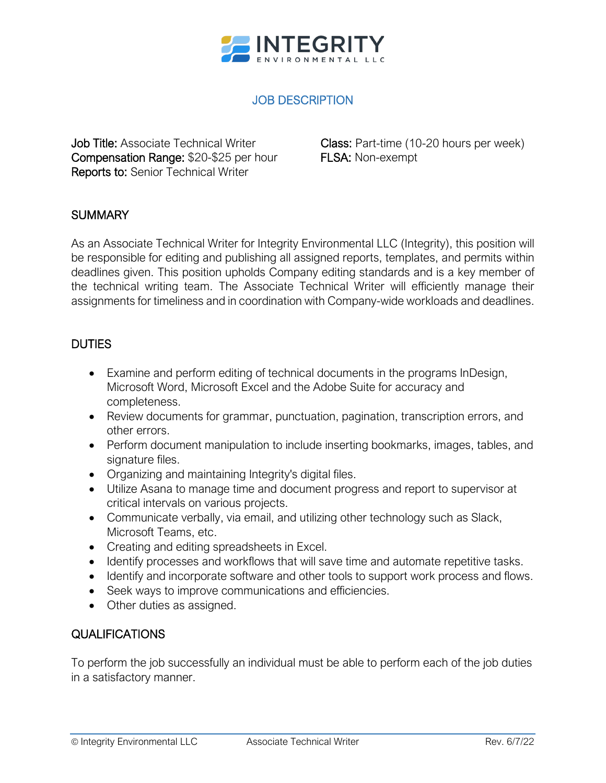

# JOB DESCRIPTION

Job Title: Associate Technical Writer Compensation Range: \$20-\$25 per hour Reports to: Senior Technical Writer

Class: Part-time (10-20 hours per week) FLSA: Non-exempt

### **SUMMARY**

As an Associate Technical Writer for Integrity Environmental LLC (Integrity), this position will be responsible for editing and publishing all assigned reports, templates, and permits within deadlines given. This position upholds Company editing standards and is a key member of the technical writing team. The Associate Technical Writer will efficiently manage their assignments for timeliness and in coordination with Company-wide workloads and deadlines.

### **DUTIES**

- Examine and perform editing of technical documents in the programs InDesign, Microsoft Word, Microsoft Excel and the Adobe Suite for accuracy and completeness.
- Review documents for grammar, punctuation, pagination, transcription errors, and other errors.
- Perform document manipulation to include inserting bookmarks, images, tables, and signature files.
- Organizing and maintaining Integrity's digital files.
- Utilize Asana to manage time and document progress and report to supervisor at critical intervals on various projects.
- Communicate verbally, via email, and utilizing other technology such as Slack, Microsoft Teams, etc.
- Creating and editing spreadsheets in Excel.
- Identify processes and workflows that will save time and automate repetitive tasks.
- Identify and incorporate software and other tools to support work process and flows.
- Seek ways to improve communications and efficiencies.
- Other duties as assigned.

### QUALIFICATIONS

To perform the job successfully an individual must be able to perform each of the job duties in a satisfactory manner.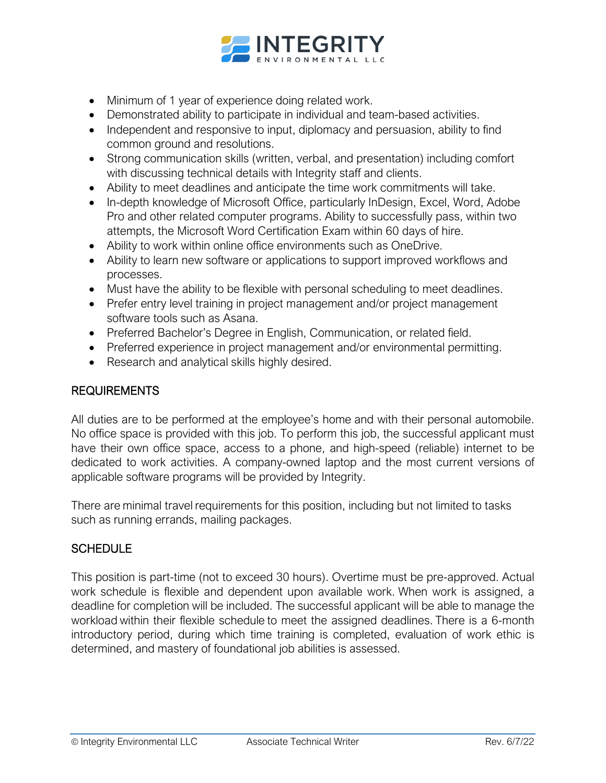

- Minimum of 1 year of experience doing related work.
- Demonstrated ability to participate in individual and team-based activities.
- Independent and responsive to input, diplomacy and persuasion, ability to find common ground and resolutions.
- Strong communication skills (written, verbal, and presentation) including comfort with discussing technical details with Integrity staff and clients.
- Ability to meet deadlines and anticipate the time work commitments will take.
- In-depth knowledge of Microsoft Office, particularly InDesign, Excel, Word, Adobe Pro and other related computer programs. Ability to successfully pass, within two attempts, the Microsoft Word Certification Exam within 60 days of hire.
- Ability to work within online office environments such as OneDrive.
- Ability to learn new software or applications to support improved workflows and processes.
- Must have the ability to be flexible with personal scheduling to meet deadlines.
- Prefer entry level training in project management and/or project management software tools such as Asana.
- Preferred Bachelor's Degree in English, Communication, or related field.
- Preferred experience in project management and/or environmental permitting.
- Research and analytical skills highly desired.

### REQUIREMENTS

All duties are to be performed at the employee's home and with their personal automobile. No office space is provided with this job. To perform this job, the successful applicant must have their own office space, access to a phone, and high-speed (reliable) internet to be dedicated to work activities. A company-owned laptop and the most current versions of applicable software programs will be provided by Integrity.

There are minimal travel requirements for this position, including but not limited to tasks such as running errands, mailing packages.

### **SCHEDULE**

This position is part-time (not to exceed 30 hours). Overtime must be pre-approved. Actual work schedule is flexible and dependent upon available work. When work is assigned, a deadline for completion will be included. The successful applicant will be able to manage the workload within their flexible schedule to meet the assigned deadlines. There is a 6-month introductory period, during which time training is completed, evaluation of work ethic is determined, and mastery of foundational job abilities is assessed.